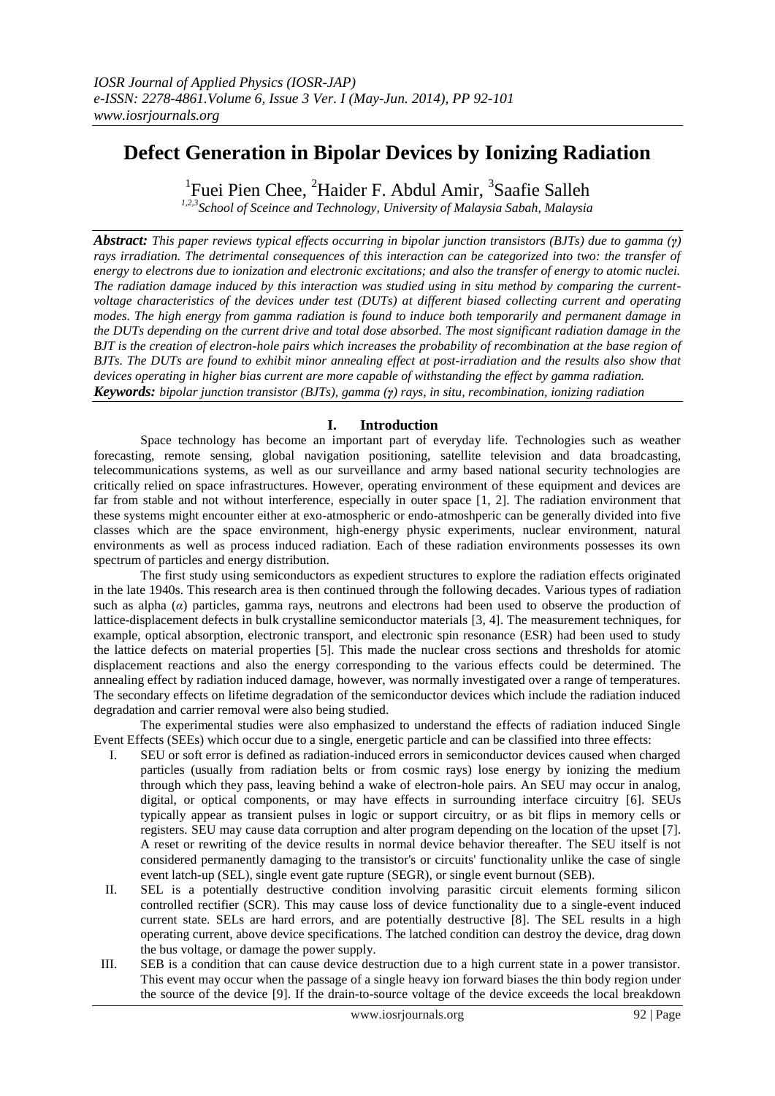# **Defect Generation in Bipolar Devices by Ionizing Radiation**

<sup>1</sup>Fuei Pien Chee, <sup>2</sup>Haider F. Abdul Amir, <sup>3</sup>Saafie Salleh

*1,2,3School of Sceince and Technology, University of Malaysia Sabah, Malaysia*

*Abstract: This paper reviews typical effects occurring in bipolar junction transistors (BJTs) due to gamma (γ)*  rays irradiation. The detrimental consequences of this interaction can be categorized into two: the transfer of *energy to electrons due to ionization and electronic excitations; and also the transfer of energy to atomic nuclei. The radiation damage induced by this interaction was studied using in situ method by comparing the currentvoltage characteristics of the devices under test (DUTs) at different biased collecting current and operating modes. The high energy from gamma radiation is found to induce both temporarily and permanent damage in the DUTs depending on the current drive and total dose absorbed. The most significant radiation damage in the BJT is the creation of electron-hole pairs which increases the probability of recombination at the base region of BJTs. The DUTs are found to exhibit minor annealing effect at post-irradiation and the results also show that devices operating in higher bias current are more capable of withstanding the effect by gamma radiation. Keywords: bipolar junction transistor (BJTs), gamma (γ) rays, in situ, recombination, ionizing radiation*

# **I. Introduction**

Space technology has become an important part of everyday life. Technologies such as weather forecasting, remote sensing, global navigation positioning, satellite television and data broadcasting, telecommunications systems, as well as our surveillance and army based national security technologies are critically relied on space infrastructures. However, operating environment of these equipment and devices are far from stable and not without interference, especially in outer space [1, 2]. The radiation environment that these systems might encounter either at exo-atmospheric or endo-atmoshperic can be generally divided into five classes which are the space environment, high-energy physic experiments, nuclear environment, natural environments as well as process induced radiation. Each of these radiation environments possesses its own spectrum of particles and energy distribution.

The first study using semiconductors as expedient structures to explore the radiation effects originated in the late 1940s. This research area is then continued through the following decades. Various types of radiation such as alpha (*α*) particles, gamma rays, neutrons and electrons had been used to observe the production of lattice-displacement defects in bulk crystalline semiconductor materials [3, 4]. The measurement techniques, for example, optical absorption, electronic transport, and electronic spin resonance (ESR) had been used to study the lattice defects on material properties [5]. This made the nuclear cross sections and thresholds for atomic displacement reactions and also the energy corresponding to the various effects could be determined. The annealing effect by radiation induced damage, however, was normally investigated over a range of temperatures. The secondary effects on lifetime degradation of the semiconductor devices which include the radiation induced degradation and carrier removal were also being studied.

The experimental studies were also emphasized to understand the effects of radiation induced Single Event Effects (SEEs) which occur due to a single, energetic particle and can be classified into three effects:

- I. SEU or soft error is defined as radiation-induced errors in semiconductor devices caused when charged particles (usually from radiation belts or from cosmic rays) lose energy by ionizing the medium through which they pass, leaving behind a wake of electron-hole pairs. An SEU may occur in analog, digital, or optical components, or may have effects in surrounding interface circuitry [6]. SEUs typically appear as transient pulses in logic or support circuitry, or as bit flips in memory cells or registers. SEU may cause data corruption and alter program depending on the location of the upset [7]. A reset or rewriting of the device results in normal device behavior thereafter. The SEU itself is not considered permanently damaging to the transistor's or circuits' functionality unlike the case of single event latch-up (SEL), single event gate rupture (SEGR), or single event burnout (SEB).
- II. SEL is a potentially destructive condition involving parasitic circuit elements forming silicon controlled rectifier (SCR). This may cause loss of device functionality due to a single-event induced current state. SELs are hard errors, and are potentially destructive [8]. The SEL results in a high operating current, above device specifications. The latched condition can destroy the device, drag down the bus voltage, or damage the power supply.
- III. SEB is a condition that can cause device destruction due to a high current state in a power transistor. This event may occur when the passage of a single heavy ion forward biases the thin body region under the source of the device [9]. If the drain-to-source voltage of the device exceeds the local breakdown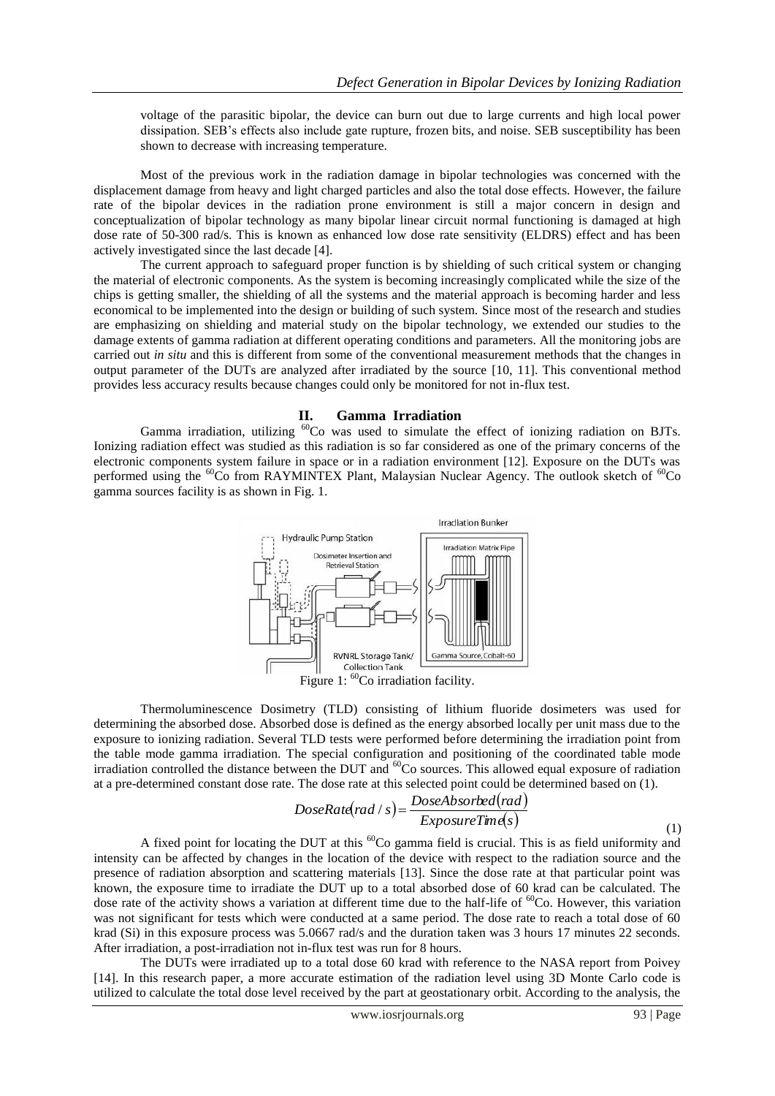voltage of the parasitic bipolar, the device can burn out due to large currents and high local power dissipation. SEB's effects also include gate rupture, frozen bits, and noise. SEB susceptibility has been shown to decrease with increasing temperature.

Most of the previous work in the radiation damage in bipolar technologies was concerned with the displacement damage from heavy and light charged particles and also the total dose effects. However, the failure rate of the bipolar devices in the radiation prone environment is still a major concern in design and conceptualization of bipolar technology as many bipolar linear circuit normal functioning is damaged at high dose rate of 50-300 rad/s. This is known as enhanced low dose rate sensitivity (ELDRS) effect and has been actively investigated since the last decade [4].

The current approach to safeguard proper function is by shielding of such critical system or changing the material of electronic components. As the system is becoming increasingly complicated while the size of the chips is getting smaller, the shielding of all the systems and the material approach is becoming harder and less economical to be implemented into the design or building of such system. Since most of the research and studies are emphasizing on shielding and material study on the bipolar technology, we extended our studies to the damage extents of gamma radiation at different operating conditions and parameters. All the monitoring jobs are carried out *in situ* and this is different from some of the conventional measurement methods that the changes in output parameter of the DUTs are analyzed after irradiated by the source [10, 11]. This conventional method provides less accuracy results because changes could only be monitored for not in-flux test.

#### **II. Gamma Irradiation**

Gamma irradiation, utilizing <sup>60</sup>Co was used to simulate the effect of ionizing radiation on BJTs. Ionizing radiation effect was studied as this radiation is so far considered as one of the primary concerns of the electronic components system failure in space or in a radiation environment [12]. Exposure on the DUTs was performed using the <sup>60</sup>Co from RAYMINTEX Plant, Malaysian Nuclear Agency. The outlook sketch of <sup>60</sup>Co gamma sources facility is as shown in Fig. 1.



Thermoluminescence Dosimetry (TLD) consisting of lithium fluoride dosimeters was used for determining the absorbed dose. Absorbed dose is defined as the energy absorbed locally per unit mass due to the exposure to ionizing radiation. Several TLD tests were performed before determining the irradiation point from the table mode gamma irradiation. The special configuration and positioning of the coordinated table mode irradiation controlled the distance between the DUT and <sup>60</sup>Co sources. This allowed equal exposure of radiation at a pre-determined constant dose rate. The dose rate at this selected point could be determined based on (1).

$$
DoseRated\, / \,s) = \frac{DoseAbsorbed\, (rad)}{ExposureTime(s)}
$$
\n<sup>(1)</sup>

A fixed point for locating the DUT at this <sup>60</sup>Co gamma field is crucial. This is as field uniformity and intensity can be affected by changes in the location of the device with respect to the radiation source and the presence of radiation absorption and scattering materials [13]. Since the dose rate at that particular point was known, the exposure time to irradiate the DUT up to a total absorbed dose of 60 krad can be calculated. The dose rate of the activity shows a variation at different time due to the half-life of  ${}^{60}Co$ . However, this variation was not significant for tests which were conducted at a same period. The dose rate to reach a total dose of 60 krad (Si) in this exposure process was 5.0667 rad/s and the duration taken was 3 hours 17 minutes 22 seconds. After irradiation, a post-irradiation not in-flux test was run for 8 hours.

The DUTs were irradiated up to a total dose 60 krad with reference to the NASA report from Poivey [14]. In this research paper, a more accurate estimation of the radiation level using 3D Monte Carlo code is utilized to calculate the total dose level received by the part at geostationary orbit. According to the analysis, the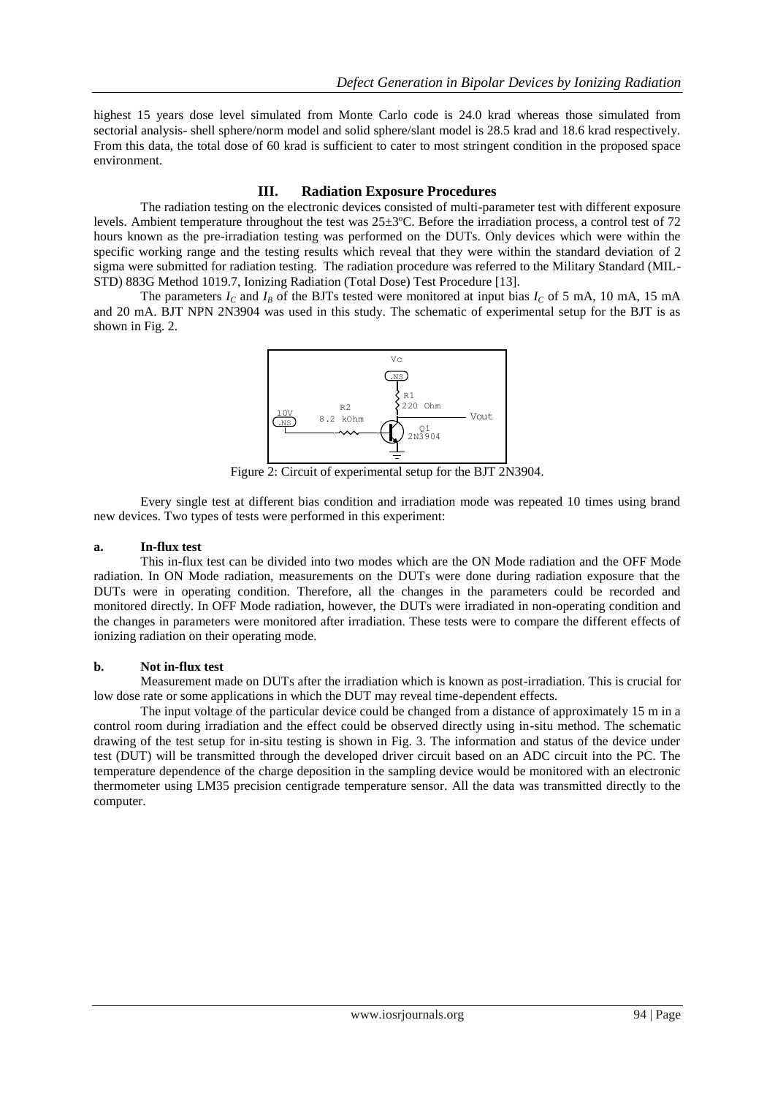highest 15 years dose level simulated from Monte Carlo code is 24.0 krad whereas those simulated from sectorial analysis- shell sphere/norm model and solid sphere/slant model is 28.5 krad and 18.6 krad respectively. From this data, the total dose of 60 krad is sufficient to cater to most stringent condition in the proposed space environment.

## **III. Radiation Exposure Procedures**

The radiation testing on the electronic devices consisted of multi-parameter test with different exposure levels. Ambient temperature throughout the test was 25±3ºC. Before the irradiation process, a control test of 72 hours known as the pre-irradiation testing was performed on the DUTs. Only devices which were within the specific working range and the testing results which reveal that they were within the standard deviation of 2 sigma were submitted for radiation testing. The radiation procedure was referred to the Military Standard (MIL-STD) 883G Method 1019.7, Ionizing Radiation (Total Dose) Test Procedure [13].

The parameters  $I_c$  and  $I_B$  of the BJTs tested were monitored at input bias  $I_c$  of 5 mA, 10 mA, 15 mA and 20 mA. BJT NPN 2N3904 was used in this study. The schematic of experimental setup for the BJT is as shown in Fig. 2.



Figure 2: Circuit of experimental setup for the BJT 2N3904.

Every single test at different bias condition and irradiation mode was repeated 10 times using brand new devices. Two types of tests were performed in this experiment:

#### **a. In-flux test**

This in-flux test can be divided into two modes which are the ON Mode radiation and the OFF Mode radiation. In ON Mode radiation, measurements on the DUTs were done during radiation exposure that the DUTs were in operating condition. Therefore, all the changes in the parameters could be recorded and monitored directly. In OFF Mode radiation, however, the DUTs were irradiated in non-operating condition and the changes in parameters were monitored after irradiation. These tests were to compare the different effects of ionizing radiation on their operating mode.

## **b. Not in-flux test**

Measurement made on DUTs after the irradiation which is known as post-irradiation. This is crucial for low dose rate or some applications in which the DUT may reveal time-dependent effects.

The input voltage of the particular device could be changed from a distance of approximately 15 m in a control room during irradiation and the effect could be observed directly using in-situ method. The schematic drawing of the test setup for in-situ testing is shown in Fig. 3. The information and status of the device under test (DUT) will be transmitted through the developed driver circuit based on an ADC circuit into the PC. The temperature dependence of the charge deposition in the sampling device would be monitored with an electronic thermometer using LM35 precision centigrade temperature sensor. All the data was transmitted directly to the computer.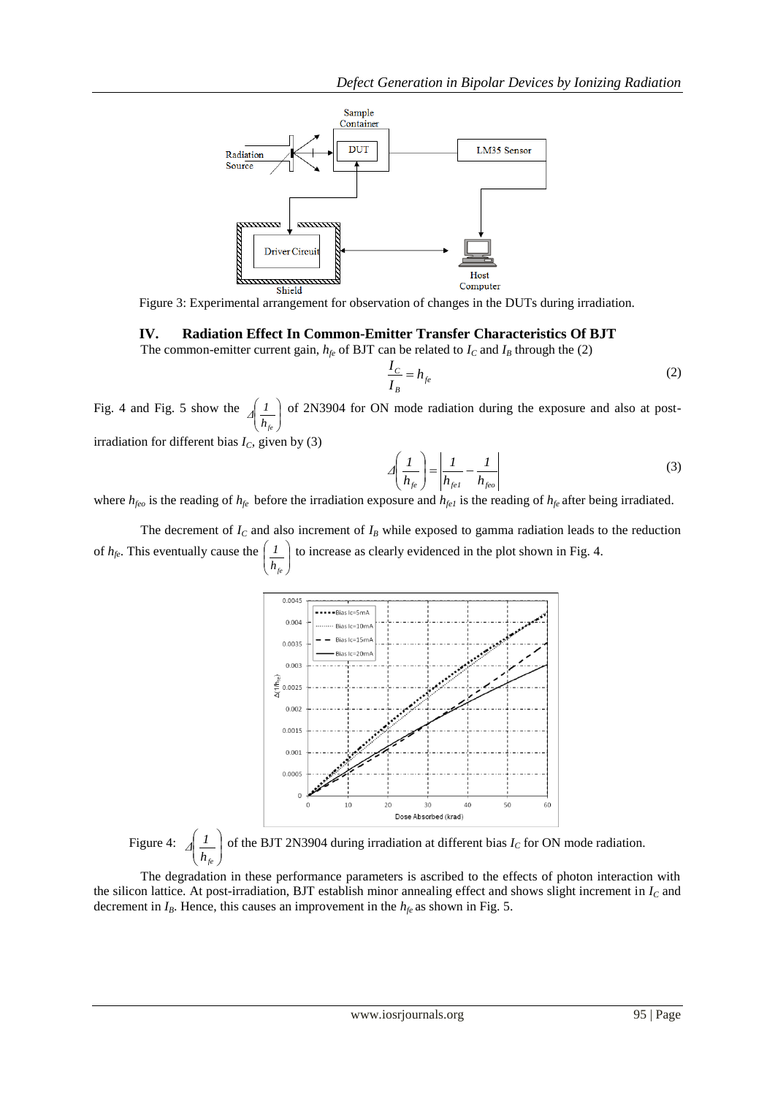

Figure 3: Experimental arrangement for observation of changes in the DUTs during irradiation.

## **IV. Radiation Effect In Common-Emitter Transfer Characteristics Of BJT**

The common-emitter current gain,  $h_{fe}$  of BJT can be related to  $I_c$  and  $I_B$  through the (2)

$$
\frac{I_C}{I_B} = h_{fe} \tag{2}
$$

Fig. 4 and Fig. 5 show the  $\vert$ J  $\lambda$  $\overline{\phantom{a}}$  $\overline{\phantom{0}}$ ſ *hfe*  $\sqrt{1}$  of 2N3904 for ON mode radiation during the exposure and also at post-

irradiation for different bias  $I_C$ , given by (3)

$$
\Delta \left( \frac{I}{h_{fe}} \right) = \left| \frac{I}{h_{fe1}} - \frac{I}{h_{feo}} \right| \tag{3}
$$

where *hfeo* is the reading of *hfe* before the irradiation exposure and *hfe1* is the reading of *hfe* after being irradiated.

The decrement of  $I_c$  and also increment of  $I_B$  while exposed to gamma radiation leads to the reduction of  $h_{fe}$ . This eventually cause the  $\left(\frac{I}{h_e}\right)$  to increase as clearly evidenced in the plot shown in Fig. 4. J  $\sqrt{h_{fe}}$ 



Figure 4:  $\overline{\phantom{a}}$ J  $\lambda$  $\overline{\phantom{a}}$  $\overline{\mathcal{L}}$ ſ *hfe*  $\sqrt{1}$  of the BJT 2N3904 during irradiation at different bias *I<sub>C</sub>* for ON mode radiation.

The degradation in these performance parameters is ascribed to the effects of photon interaction with the silicon lattice. At post-irradiation, BJT establish minor annealing effect and shows slight increment in *I<sup>C</sup>* and decrement in  $I_B$ . Hence, this causes an improvement in the  $h_{fe}$  as shown in Fig. 5.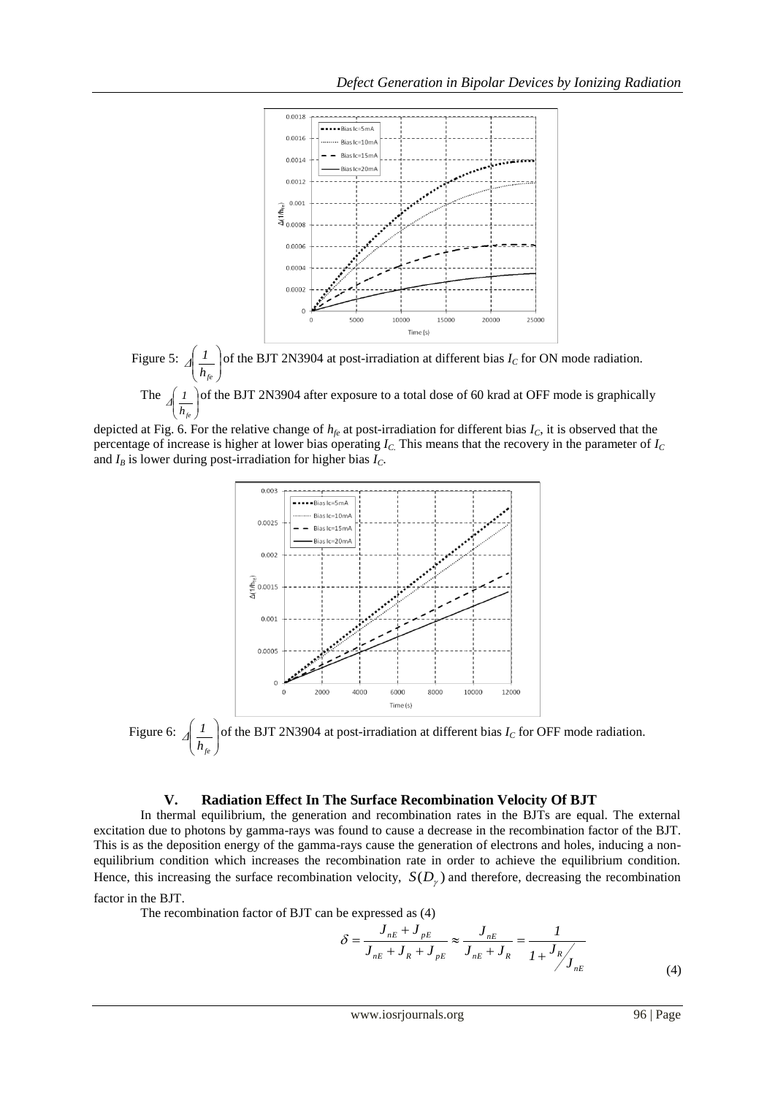



J L depicted at Fig. 6. For the relative change of  $h<sub>fe</sub>$  at post-irradiation for different bias  $I<sub>C</sub>$ , it is observed that the percentage of increase is higher at lower bias operating *IC*. This means that the recovery in the parameter of *I<sup>C</sup>* and  $I_B$  is lower during post-irradiation for higher bias  $I_C$ .



Figure 6:  $\overline{\phantom{a}}$ Γ  $\lambda$  $\overline{\phantom{a}}$ L ſ *hfe*  $\frac{1}{\sqrt{2}}$  of the BJT 2N3904 at post-irradiation at different bias *I<sub>C</sub>* for OFF mode radiation.

#### **V. Radiation Effect In The Surface Recombination Velocity Of BJT**

In thermal equilibrium, the generation and recombination rates in the BJTs are equal. The external excitation due to photons by gamma-rays was found to cause a decrease in the recombination factor of the BJT. This is as the deposition energy of the gamma-rays cause the generation of electrons and holes, inducing a nonequilibrium condition which increases the recombination rate in order to achieve the equilibrium condition. Hence, this increasing the surface recombination velocity,  $S(D<sub>\gamma</sub>)$  and therefore, decreasing the recombination factor in the BJT.

The recombination factor of BJT can be expressed as (4)

*hfe*

$$
\delta = \frac{J_{nE} + J_{pE}}{J_{nE} + J_R + J_{pE}} \approx \frac{J_{nE}}{J_{nE} + J_R} = \frac{1}{1 + \frac{J_R}{J_{nE}}} \tag{4}
$$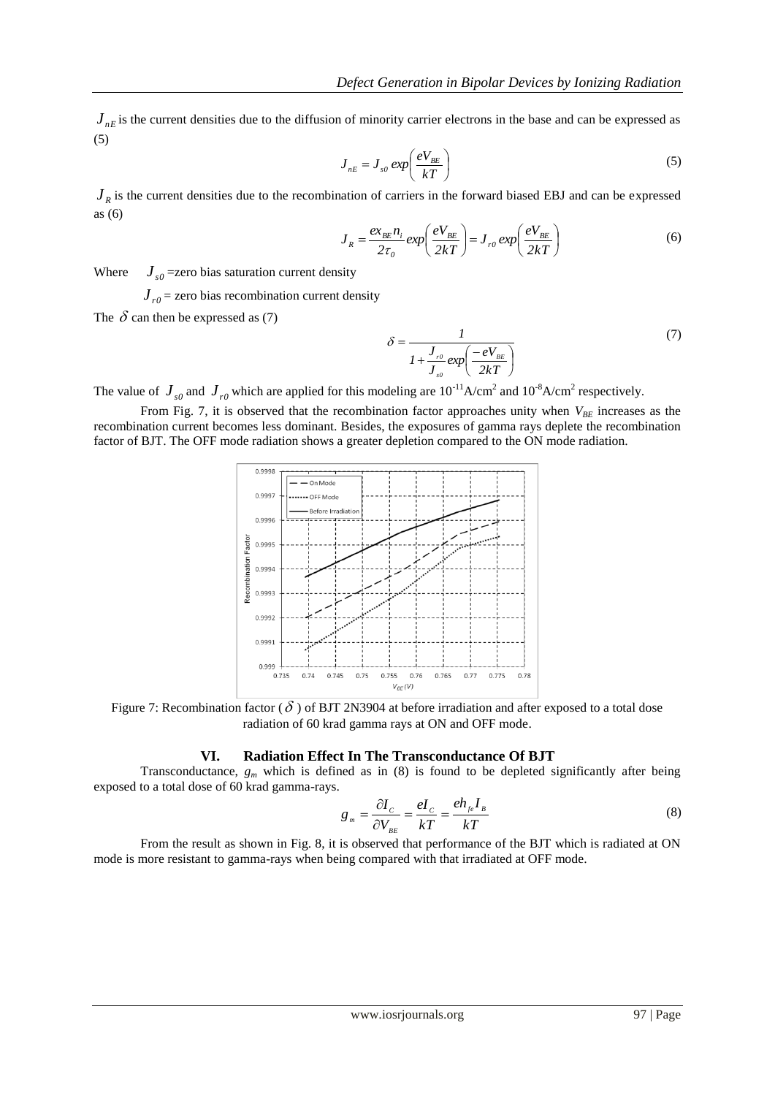$J_{nE}$  is the current densities due to the diffusion of minority carrier electrons in the base and can be expressed as (5)

$$
J_{nE} = J_{s0} \exp\left(\frac{eV_{BE}}{kT}\right) \tag{5}
$$

 $J_R$  is the current densities due to the recombination of carriers in the forward biased EBJ and can be expressed as (6)

$$
J_R = \frac{ex_{BE}n_i}{2\tau_o} \exp\left(\frac{eV_{BE}}{2kT}\right) = J_{r0} \exp\left(\frac{eV_{BE}}{2kT}\right)
$$
(6)

Where  $J_{s0}$  =zero bias saturation current density

 $J_{r0}$  = zero bias recombination current density

The  $\delta$  can then be expressed as (7)

$$
\delta = \frac{1}{1 + \frac{J_{r0}}{J_{s0}} \exp\left(\frac{-eV_{_{BE}}}{2kT}\right)}
$$
(7)

The value of  $J_{s0}$  and  $J_{r0}$  which are applied for this modeling are  $10^{-11}$ A/cm<sup>2</sup> and  $10^{-8}$ A/cm<sup>2</sup> respectively.

From Fig. 7, it is observed that the recombination factor approaches unity when  $V_{BE}$  increases as the recombination current becomes less dominant. Besides, the exposures of gamma rays deplete the recombination factor of BJT. The OFF mode radiation shows a greater depletion compared to the ON mode radiation.



Figure 7: Recombination factor ( $\delta$ ) of BJT 2N3904 at before irradiation and after exposed to a total dose radiation of 60 krad gamma rays at ON and OFF mode.

#### **VI. Radiation Effect In The Transconductance Of BJT**

Transconductance,  $g_m$  which is defined as in (8) is found to be depleted significantly after being exposed to a total dose of 60 krad gamma-rays.

$$
g_m = \frac{\partial I_c}{\partial V_{_{BE}}} = \frac{eI_c}{kT} = \frac{eh_{_{fe}}I_{B}}{kT}
$$
(8)

From the result as shown in Fig. 8, it is observed that performance of the BJT which is radiated at ON mode is more resistant to gamma-rays when being compared with that irradiated at OFF mode.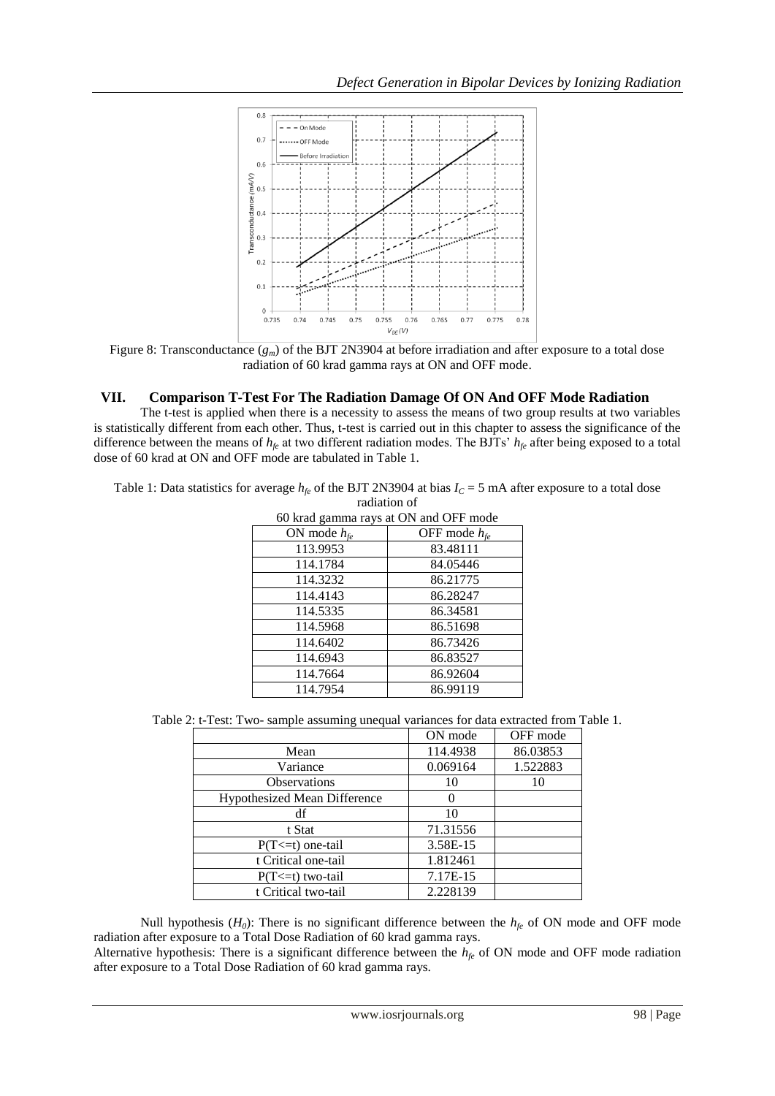

Figure 8: Transconductance (*gm*) of the BJT 2N3904 at before irradiation and after exposure to a total dose radiation of 60 krad gamma rays at ON and OFF mode.

# **VII. Comparison T-Test For The Radiation Damage Of ON And OFF Mode Radiation**

The t-test is applied when there is a necessity to assess the means of two group results at two variables is statistically different from each other. Thus, t-test is carried out in this chapter to assess the significance of the difference between the means of *hfe* at two different radiation modes. The BJTs' *hfe* after being exposed to a total dose of 60 krad at ON and OFF mode are tabulated in Table 1.

Table 1: Data statistics for average  $h_f$  of the BJT 2N3904 at bias  $I_c = 5$  mA after exposure to a total dose radiation of

| 60 krad gamma rays at ON and OFF mode |                   |  |
|---------------------------------------|-------------------|--|
| ON mode $h_{te}$                      | OFF mode $h_{fe}$ |  |
| 113.9953                              | 83.48111          |  |
| 114.1784                              | 84.05446          |  |
| 114.3232                              | 86.21775          |  |
| 114.4143                              | 86.28247          |  |
| 114.5335                              | 86.34581          |  |
| 114.5968                              | 86.51698          |  |
| 114.6402                              | 86.73426          |  |
| 114.6943                              | 86.83527          |  |
| 114.7664                              | 86.92604          |  |
| 114.7954                              | 86.99119          |  |

|                                     | ON mode  | OFF mode |
|-------------------------------------|----------|----------|
| Mean                                | 114.4938 | 86.03853 |
| Variance                            | 0.069164 | 1.522883 |
| <b>Observations</b>                 | 10       | 10       |
| <b>Hypothesized Mean Difference</b> |          |          |
| df                                  | 10       |          |
| t Stat                              | 71.31556 |          |
| $P(T \le t)$ one-tail               | 3.58E-15 |          |
| t Critical one-tail                 | 1.812461 |          |
| $P(T \le t)$ two-tail               | 7.17E-15 |          |
| t Critical two-tail                 | 2.228139 |          |

Null hypothesis  $(H_0)$ : There is no significant difference between the  $h_f$  of ON mode and OFF mode radiation after exposure to a Total Dose Radiation of 60 krad gamma rays.

Alternative hypothesis: There is a significant difference between the *hfe* of ON mode and OFF mode radiation after exposure to a Total Dose Radiation of 60 krad gamma rays.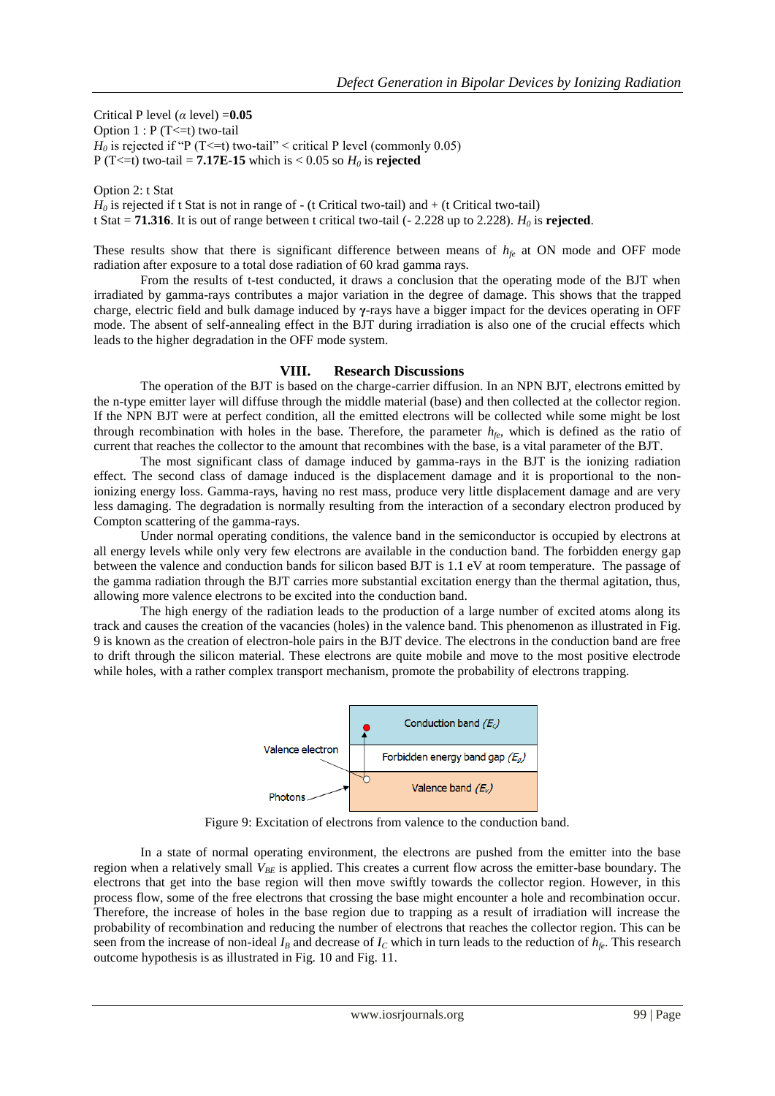Critical P level (*α* level) =**0.05** Option  $1 : P(T \le t)$  two-tail  $H_0$  is rejected if "P (T<=t) two-tail" < critical P level (commonly 0.05) P (T<=t) two-tail = **7.17E-15** which is < 0.05 so  $H_0$  is **rejected** 

Option 2: t Stat  $H_0$  is rejected if t Stat is not in range of  $-$  (t Critical two-tail) and  $+$  (t Critical two-tail) t Stat = **71.316**. It is out of range between t critical two-tail (- 2.228 up to 2.228).  $H_0$  is **rejected**.

These results show that there is significant difference between means of *hfe* at ON mode and OFF mode radiation after exposure to a total dose radiation of 60 krad gamma rays.

From the results of t-test conducted, it draws a conclusion that the operating mode of the BJT when irradiated by gamma-rays contributes a major variation in the degree of damage. This shows that the trapped charge, electric field and bulk damage induced by **γ**-rays have a bigger impact for the devices operating in OFF mode. The absent of self-annealing effect in the BJT during irradiation is also one of the crucial effects which leads to the higher degradation in the OFF mode system.

## **VIII. Research Discussions**

The operation of the BJT is based on the charge-carrier diffusion. In an NPN BJT, electrons emitted by the n-type emitter layer will diffuse through the middle material (base) and then collected at the collector region. If the NPN BJT were at perfect condition, all the emitted electrons will be collected while some might be lost through recombination with holes in the base. Therefore, the parameter  $h_{fe}$ , which is defined as the ratio of current that reaches the collector to the amount that recombines with the base, is a vital parameter of the BJT.

The most significant class of damage induced by gamma-rays in the BJT is the ionizing radiation effect. The second class of damage induced is the displacement damage and it is proportional to the nonionizing energy loss. Gamma-rays, having no rest mass, produce very little displacement damage and are very less damaging. The degradation is normally resulting from the interaction of a secondary electron produced by Compton scattering of the gamma-rays.

Under normal operating conditions, the valence band in the semiconductor is occupied by electrons at all energy levels while only very few electrons are available in the conduction band. The forbidden energy gap between the valence and conduction bands for silicon based BJT is 1.1 eV at room temperature. The passage of the gamma radiation through the BJT carries more substantial excitation energy than the thermal agitation, thus, allowing more valence electrons to be excited into the conduction band.

The high energy of the radiation leads to the production of a large number of excited atoms along its track and causes the creation of the vacancies (holes) in the valence band. This phenomenon as illustrated in Fig. 9 is known as the creation of electron-hole pairs in the BJT device. The electrons in the conduction band are free to drift through the silicon material. These electrons are quite mobile and move to the most positive electrode while holes, with a rather complex transport mechanism, promote the probability of electrons trapping.



Figure 9: Excitation of electrons from valence to the conduction band.

In a state of normal operating environment, the electrons are pushed from the emitter into the base region when a relatively small *VBE* is applied. This creates a current flow across the emitter-base boundary. The electrons that get into the base region will then move swiftly towards the collector region. However, in this process flow, some of the free electrons that crossing the base might encounter a hole and recombination occur. Therefore, the increase of holes in the base region due to trapping as a result of irradiation will increase the probability of recombination and reducing the number of electrons that reaches the collector region. This can be seen from the increase of non-ideal  $I_B$  and decrease of  $I_C$  which in turn leads to the reduction of  $h_{f_e}$ . This research outcome hypothesis is as illustrated in Fig. 10 and Fig. 11.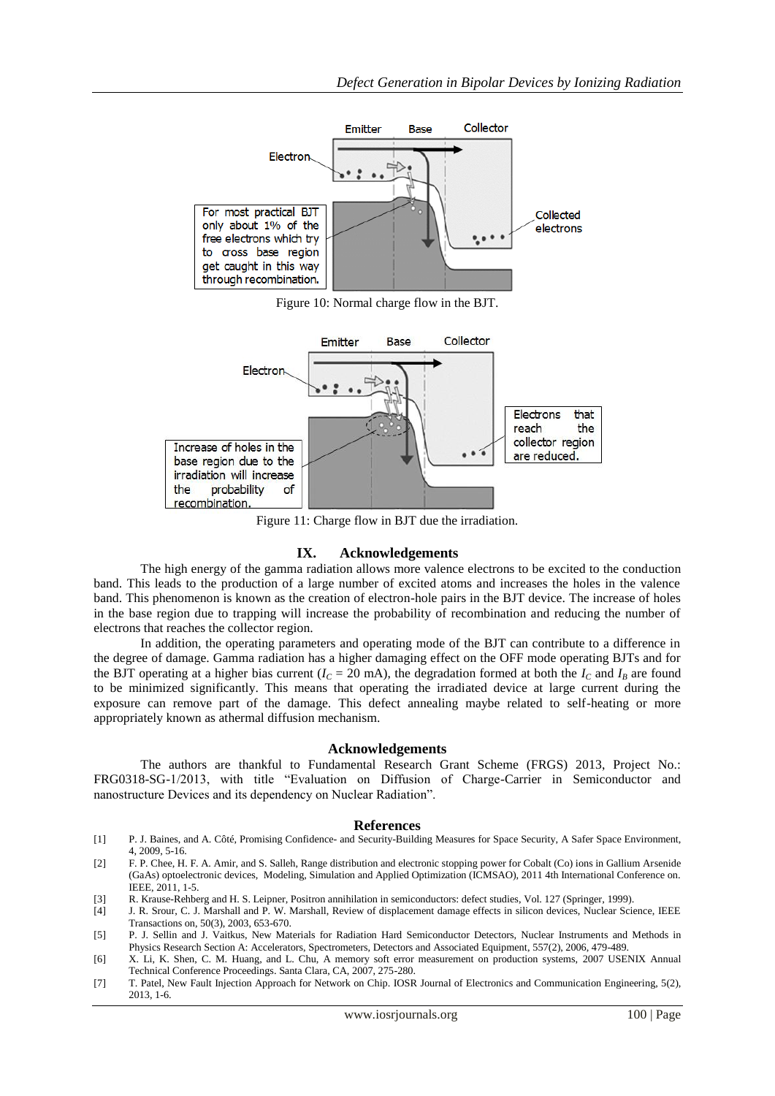

Figure 10: Normal charge flow in the BJT.



Figure 11: Charge flow in BJT due the irradiation.

#### **IX. Acknowledgements**

The high energy of the gamma radiation allows more valence electrons to be excited to the conduction band. This leads to the production of a large number of excited atoms and increases the holes in the valence band. This phenomenon is known as the creation of electron-hole pairs in the BJT device. The increase of holes in the base region due to trapping will increase the probability of recombination and reducing the number of electrons that reaches the collector region.

In addition, the operating parameters and operating mode of the BJT can contribute to a difference in the degree of damage. Gamma radiation has a higher damaging effect on the OFF mode operating BJTs and for the BJT operating at a higher bias current ( $I_C = 20$  mA), the degradation formed at both the  $I_C$  and  $I_B$  are found to be minimized significantly. This means that operating the irradiated device at large current during the exposure can remove part of the damage. This defect annealing maybe related to self-heating or more appropriately known as athermal diffusion mechanism.

#### **Acknowledgements**

The authors are thankful to Fundamental Research Grant Scheme (FRGS) 2013, Project No.: FRG0318-SG-1/2013, with title "Evaluation on Diffusion of Charge-Carrier in Semiconductor and nanostructure Devices and its dependency on Nuclear Radiation".

#### **References**

- [1] P. J. Baines, and A. Côté, Promising Confidence- and Security-Building Measures for Space Security, A Safer Space Environment, 4, 2009, 5-16.
- [2] F. P. Chee, H. F. A. Amir, and S. Salleh, Range distribution and electronic stopping power for Cobalt (Co) ions in Gallium Arsenide (GaAs) optoelectronic devices, Modeling, Simulation and Applied Optimization (ICMSAO), 2011 4th International Conference on. IEEE, 2011, 1-5.
- [3] R. Krause-Rehberg and H. S. Leipner, Positron annihilation in semiconductors: defect studies, Vol. 127 (Springer, 1999).
- [4] J. R. Srour, C. J. Marshall and P. W. Marshall, Review of displacement damage effects in silicon devices, Nuclear Science, IEEE Transactions on, 50(3), 2003, 653-670.
- [5] P. J. Sellin and J. Vaitkus, New Materials for Radiation Hard Semiconductor Detectors, Nuclear Instruments and Methods in Physics Research Section A: Accelerators, Spectrometers, Detectors and Associated Equipment, 557(2), 2006, 479-489.
- [6] X. Li, K. Shen, C. M. Huang, and L. Chu, A memory soft error measurement on production systems, 2007 USENIX Annual Technical Conference Proceedings. Santa Clara, CA, 2007, 275-280.
- [7] T. Patel, New Fault Injection Approach for Network on Chip. IOSR Journal of Electronics and Communication Engineering, 5(2), 2013, 1-6.